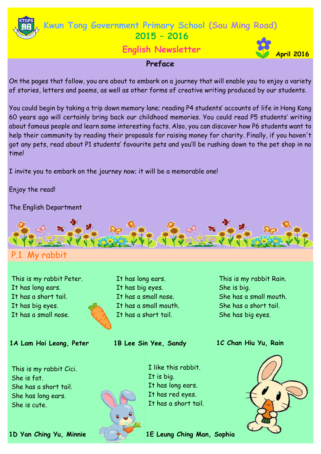

# **April 2016 English Newsletter**



### **Preface**

On the pages that follow, you are about to embark on a journey that will enable you to enjoy a variety of stories, letters and poems, as well as other forms of creative writing produced by our students.

You could begin by taking a trip down memory lane; reading P4 students' accounts of life in Hong Kong 60 years ago will certainly bring back our childhood memories. You could read P5 students' writing about famous people and learn some interesting facts. Also, you can discover how P6 students want to help their community by reading their proposals for raising money for charity. Finally, if you haven't got any pets, read about P1 students' favourite pets and you'll be rushing down to the pet shop in no time!

I invite you to embark on the journey now; it will be a memorable one!

Enjoy the read!

The English Department



# P.1 My rabbit

This is my rabbit Peter. It has long ears. It has a short tail. It has big eyes. It has a small nose.

#### 1A Lam Hoi Leong, Peter **1B Lee Sin Yee, Sandy 1C Chan Hiu Yu, Rain**

This is my rabbit Cici. She is fat. She has a short tail. She has long ears. She is cute.

It has long ears. It has big eyes. It has a small nose. It has a small mouth. It has a short tail.

**1B Lee Sin Yee, Sandy**

This is my rabbit Rain. She is big. She has a small mouth. She has a short tail. She has big eyes.



I like this rabbit. It has long ears. It has red eyes. It has a short tail.

**1D Yan Ching Yu, Minnie 1E Leung Ching Man, Sophia**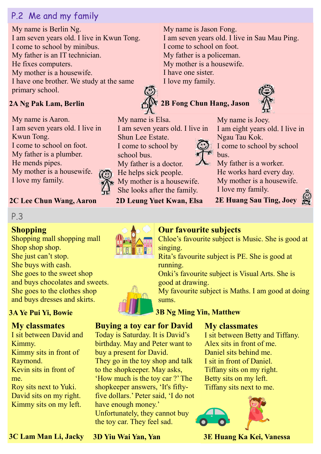# P.2 Me and my family

My name is Berlin Ng. I am seven years old. I live in Kwun Tong. I come to school by minibus. My father is an IT technician. He fixes computers. My mother is a housewife. I have one brother. We study at the same primary school.

## **2A Ng Pak Lam, Berlin**

My name is Aaron. I am seven years old. I live in Kwun Tong. I come to school on foot. My father is a plumber. He mends pipes. My mother is a housewife. I love my family.

## **2C Lee Chun Wang, Aaron**

## P.3

## **Shopping**

Shopping mall shopping mall Shop shop shop. She just can't stop. She buys with cash. She goes to the sweet shop and buys chocolates and sweets. She goes to the clothes shop and buys dresses and skirts.

## **My classmates**

I sit between David and Kimmy. Kimmy sits in front of Raymond. Kevin sits in front of me. Roy sits next to Yuki. David sits on my right. Kimmy sits on my left.

My name is Jason Fong. I am seven years old. I live in Sau Mau Ping. I come to school on foot. My father is a policeman. My mother is a housewife. I have one sister. I love my family.

# **2B Fong Chun Hang, Jason**



My name is Joey. I am eight years old. I live in Ngau Tau Kok.

I come to school by school bus.

My father is a worker. He works hard every day. My mother is a housewife. I love my family.

**2E Huang Sau Ting, Joey**



**2D Leung Yuet Kwan, Elsa**



Chloe's favourite subject is Music. She is good at singing.

Rita's favourite subject is PE. She is good at running.

Onki's favourite subject is Visual Arts. She is good at drawing.

My favourite subject is Maths. I am good at doing sums.

### **3A Ye Pui Yi, Bowie 3B Ng Ming Yin, Matthew**

## **Buying a toy car for David**

Today is Saturday. It is David's birthday. May and Peter want to buy a present for David. They go in the toy shop and talk to the shopkeeper. May asks, 'How much is the toy car ?' The shopkeeper answers, 'It's fiftyfive dollars.' Peter said, 'I do not have enough money.' Unfortunately, they cannot buy the toy car. They feel sad.

#### **My classmates**

I sit between Betty and Tiffany. Alex sits in front of me. Daniel sits behind me. I sit in front of Daniel. Tiffany sits on my right. Betty sits on my left. Tiffany sits next to me.



**3E Huang Ka Kei, Vanessa**

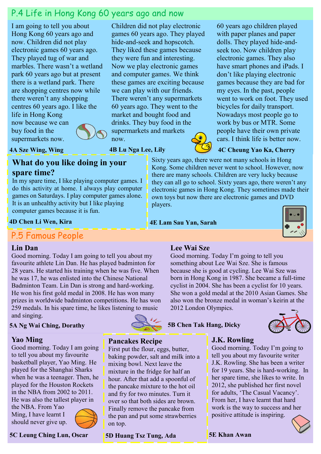# P.4 Life in Hong Kong 60 years ago and now

Children did not play electronic games 60 years ago. They played hide-and-seek and hopscotch. They liked these games because they were fun and interesting. Now we play electronic games and computer games. We think these games are exciting because we can play with our friends. There weren't any supermarkets 60 years ago. They went to the market and bought food and drinks. They buy food in the supermarkets and markets

I am going to tell you about Hong Kong 60 years ago and now. Children did not play electronic games 60 years ago. They played tug of war and marbles. There wasn't a wetland park 60 years ago but at present there is a wetland park. There are shopping centres now while there weren't any shopping centres 60 years ago. I like the life in Hong Kong

now because we can buy food in the supermarkets now.



now.

**4A Sze Wing, Wing**

#### **What do you like doing in your spare time?**

In my spare time, I like playing computer games. I do this activity at home. I always play computer games on Saturdays. I play computer games alone. It is an unhealthy activity but I like playing computer games because it is fun.

**4D Chen Li Wen, Kira**

# P.5 Famous People

#### **Lin Dan**

Good morning. Today I am going to tell you about my favourite athlete Lin Dan. He has played badminton for 28 years. He started his training when he was five. When he was 17, he was enlisted into the Chinese National Badminton Team. Lin Dan is strong and hard-working. He won his first gold medal in 2008. He has won many prizes in worldwide badminton competitions. He has won 259 medals. In his spare time, he likes listening to music and singing.

#### **5A Ng Wai Ching, Dorathy**

#### **Yao Ming**

Good morning. Today I am going to tell you about my favourite basketball player, Yao Ming. He played for the Shanghai Sharks when he was a teenager. Then, he played for the Houston Rockets in the NBA from 2002 to 2011. He was also the tallest player in the NBA. From Yao

Ming, I have learnt I should never give up.



**5C Leung Ching Lun, Oscar 5E Khan Awan** 



#### **Pancakes Recipe**

First put the flour, eggs, butter, baking powder, salt and milk into a mixing bowl. Next leave the mixture in the fridge for half an hour. After that add a spoonful of the pancake mixture to the hot oil and fry for two minutes. Turn it over so that both sides are brown. Finally remove the pancake from the pan and put some strawberries on top.

**5D Huang Tsz Tung, Ada**

60 years ago children played with paper planes and paper dolls. They played hide-andseek too. Now children play electronic games. They also have smart phones and iPads. I don't like playing electronic games because they are bad for my eyes. In the past, people went to work on foot. They used bicycles for daily transport. Nowadays most people go to work by bus or MTR. Some people have their own private cars. I think life is better now.

#### **4C Cheung Yao Ka, Cherry**

Sixty years ago, there were not many schools in Hong Kong. Some children never went to school. However, now there are many schools. Children are very lucky because they can all go to school. Sixty years ago, there weren't any electronic games in Hong Kong. They sometimes made their own toys but now there are electronic games and DVD players. **4B Lu Nga Lee, Lily**

**4E Lam Sau Yan, Sarah**



#### **Lee Wai Sze**

Good morning. Today I'm going to tell you something about Lee Wai Sze. She is famous because she is good at cycling. Lee Wai Sze was born in Hong Kong in 1987. She became a full-time cyclist in 2004. She has been a cyclist for 10 years. She won a gold medal at the 2010 Asian Games. She also won the bronze medal in woman's keirin at the 2012 London Olympics.

**5B Chen Tak Hang, Dicky**



#### **J.K. Rowling**

Good morning. Today I'm going to tell you about my favourite writer J.K. Rowling. She has been a writer for 19 years. She is hard-working. In her spare time, she likes to write. In 2012, she published her first novel for adults, 'The Casual Vacancy'. From her, I have learnt that hard work is the way to success and her positive attitude is inspiring.